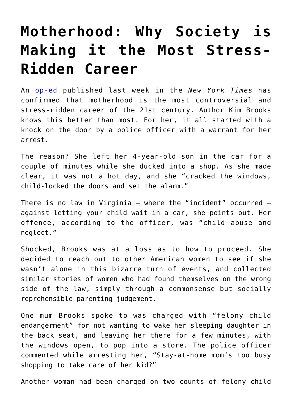## **[Motherhood: Why Society is](https://intellectualtakeout.org/2018/08/motherhood-why-society-is-making-it-the-most-stress-ridden-career/) [Making it the Most Stress-](https://intellectualtakeout.org/2018/08/motherhood-why-society-is-making-it-the-most-stress-ridden-career/)[Ridden Career](https://intellectualtakeout.org/2018/08/motherhood-why-society-is-making-it-the-most-stress-ridden-career/)**

An [op-ed](https://www.nytimes.com/2018/07/27/opinion/sunday/motherhood-in-the-age-of-fear.html) published last week in the *New York Times* has confirmed that motherhood is the most controversial and stress-ridden career of the 21st century. Author Kim Brooks knows this better than most. For her, it all started with a knock on the door by a police officer with a warrant for her arrest.

The reason? She left her 4-year-old son in the car for a couple of minutes while she ducked into a shop. As she made clear, it was not a hot day, and she "cracked the windows, child-locked the doors and set the alarm."

There is no law in Virginia – where the "incident" occurred – against letting your child wait in a car, she points out. Her offence, according to the officer, was "child abuse and neglect."

Shocked, Brooks was at a loss as to how to proceed. She decided to reach out to other American women to see if she wasn't alone in this bizarre turn of events, and collected similar stories of women who had found themselves on the wrong side of the law, simply through a commonsense but socially reprehensible parenting judgement.

One mum Brooks spoke to was charged with "felony child endangerment" for not wanting to wake her sleeping daughter in the back seat, and leaving her there for a few minutes, with the windows open, to pop into a store. The police officer commented while arresting her, "Stay-at-home mom's too busy shopping to take care of her kid?"

Another woman had been charged on two counts of felony child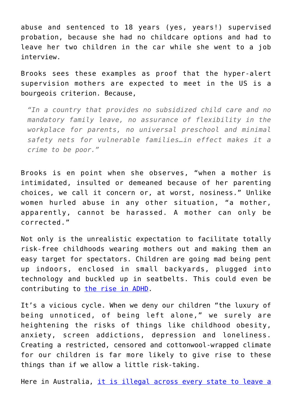abuse and sentenced to 18 years (yes, years!) supervised probation, because she had no childcare options and had to leave her two children in the car while she went to a job interview.

Brooks sees these examples as proof that the hyper-alert supervision mothers are expected to meet in the US is a bourgeois criterion. Because,

*"In a country that provides no subsidized child care and no mandatory family leave, no assurance of flexibility in the workplace for parents, no universal preschool and minimal safety nets for vulnerable families…in effect makes it a crime to be poor."*

Brooks is en point when she observes, "when a mother is intimidated, insulted or demeaned because of her parenting choices, we call it concern or, at worst, nosiness." Unlike women hurled abuse in any other situation, "a mother, apparently, cannot be harassed. A mother can only be corrected."

Not only is the unrealistic expectation to facilitate totally risk-free childhoods wearing mothers out and making them an easy target for spectators. Children are going mad being pent up indoors, enclosed in small backyards, plugged into technology and buckled up in seatbelts. This could even be contributing to [the rise in ADHD.](https://medicalxpress.com/news/2014-11-global-surge-adhd-diagnosis-medicine.html)

It's a vicious cycle. When we deny our children "the luxury of being unnoticed, of being left alone," we surely are heightening the risks of things like childhood obesity, anxiety, screen addictions, depression and loneliness. Creating a restricted, censored and cottonwool-wrapped climate for our children is far more likely to give rise to these things than if we allow a little risk-taking.

Here in Australia, [it is illegal across every state to leave a](https://www.betterhealth.vic.gov.au/health/healthyliving/child-safety-in-the-car)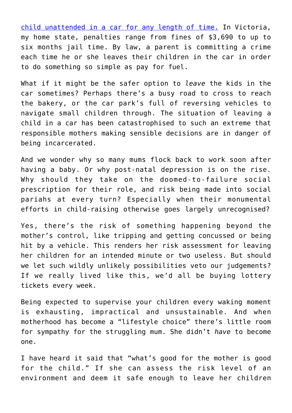[child unattended in a car for any length of time.](https://www.betterhealth.vic.gov.au/health/healthyliving/child-safety-in-the-car) In Victoria, my home state, penalties range from fines of \$3,690 to up to six months jail time. By law, a parent is committing a crime each time he or she leaves their children in the car in order to do something so simple as pay for fuel.

What if it might be the safer option to *leave* the kids in the car sometimes? Perhaps there's a busy road to cross to reach the bakery, or the car park's full of reversing vehicles to navigate small children through. The situation of leaving a child in a car has been catastrophised to such an extreme that responsible mothers making sensible decisions are in danger of being incarcerated.

And we wonder why so many mums flock back to work soon after having a baby. Or why post-natal depression is on the rise. Why should they take on the doomed-to-failure social prescription for their role, and risk being made into social pariahs at every turn? Especially when their monumental efforts in child-raising otherwise goes largely unrecognised?

Yes, there's the risk of something happening beyond the mother's control, like tripping and getting concussed or being hit by a vehicle. This renders her risk assessment for leaving her children for an intended minute or two useless. But should we let such wildly unlikely possibilities veto our judgements? If we really lived like this, we'd all be buying lottery tickets every week.

Being expected to supervise your children every waking moment is exhausting, impractical and unsustainable. And when motherhood has become a "lifestyle choice" there's little room for sympathy for the struggling mum. She didn't *have* to become one.

I have heard it said that "what's good for the mother is good for the child." If she can assess the risk level of an environment and deem it safe enough to leave her children